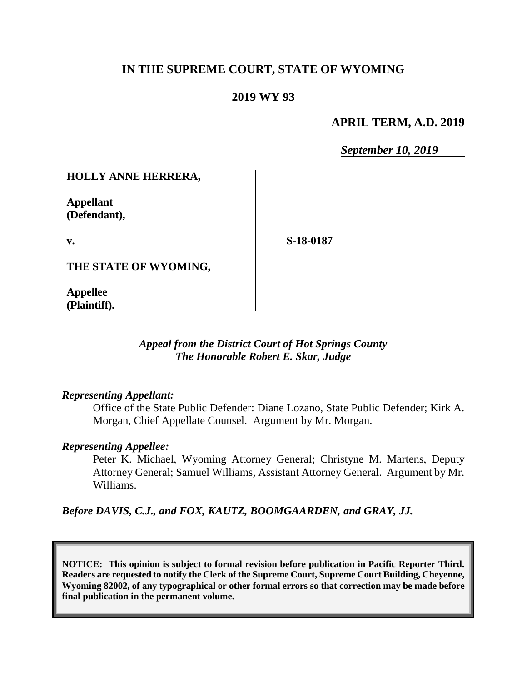## **IN THE SUPREME COURT, STATE OF WYOMING**

## **2019 WY 93**

### **APRIL TERM, A.D. 2019**

*September 10, 2019*

### **HOLLY ANNE HERRERA,**

**Appellant (Defendant),**

**v.**

**S-18-0187**

**THE STATE OF WYOMING,**

**Appellee (Plaintiff).**

### *Appeal from the District Court of Hot Springs County The Honorable Robert E. Skar, Judge*

#### *Representing Appellant:*

Office of the State Public Defender: Diane Lozano, State Public Defender; Kirk A. Morgan, Chief Appellate Counsel. Argument by Mr. Morgan.

#### *Representing Appellee:*

Peter K. Michael, Wyoming Attorney General; Christyne M. Martens, Deputy Attorney General; Samuel Williams, Assistant Attorney General. Argument by Mr. Williams.

*Before DAVIS, C.J., and FOX, KAUTZ, BOOMGAARDEN, and GRAY, JJ.*

**NOTICE: This opinion is subject to formal revision before publication in Pacific Reporter Third. Readers are requested to notify the Clerk of the Supreme Court, Supreme Court Building, Cheyenne, Wyoming 82002, of any typographical or other formal errors so that correction may be made before final publication in the permanent volume.**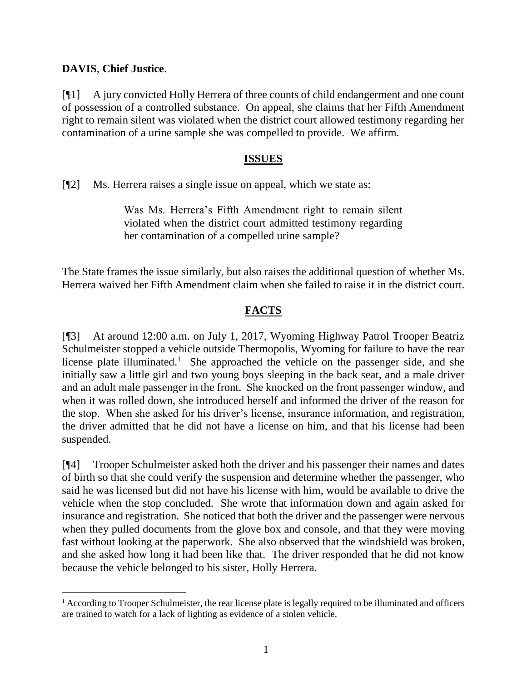## **DAVIS**, **Chief Justice**.

l

[¶1] A jury convicted Holly Herrera of three counts of child endangerment and one count of possession of a controlled substance. On appeal, she claims that her Fifth Amendment right to remain silent was violated when the district court allowed testimony regarding her contamination of a urine sample she was compelled to provide. We affirm.

## **ISSUES**

[¶2] Ms. Herrera raises a single issue on appeal, which we state as:

Was Ms. Herrera's Fifth Amendment right to remain silent violated when the district court admitted testimony regarding her contamination of a compelled urine sample?

The State frames the issue similarly, but also raises the additional question of whether Ms. Herrera waived her Fifth Amendment claim when she failed to raise it in the district court.

# **FACTS**

[¶3] At around 12:00 a.m. on July 1, 2017, Wyoming Highway Patrol Trooper Beatriz Schulmeister stopped a vehicle outside Thermopolis, Wyoming for failure to have the rear license plate illuminated.<sup>1</sup> She approached the vehicle on the passenger side, and she initially saw a little girl and two young boys sleeping in the back seat, and a male driver and an adult male passenger in the front. She knocked on the front passenger window, and when it was rolled down, she introduced herself and informed the driver of the reason for the stop. When she asked for his driver's license, insurance information, and registration, the driver admitted that he did not have a license on him, and that his license had been suspended.

[¶4] Trooper Schulmeister asked both the driver and his passenger their names and dates of birth so that she could verify the suspension and determine whether the passenger, who said he was licensed but did not have his license with him, would be available to drive the vehicle when the stop concluded. She wrote that information down and again asked for insurance and registration. She noticed that both the driver and the passenger were nervous when they pulled documents from the glove box and console, and that they were moving fast without looking at the paperwork. She also observed that the windshield was broken, and she asked how long it had been like that. The driver responded that he did not know because the vehicle belonged to his sister, Holly Herrera.

<sup>1</sup> According to Trooper Schulmeister, the rear license plate is legally required to be illuminated and officers are trained to watch for a lack of lighting as evidence of a stolen vehicle.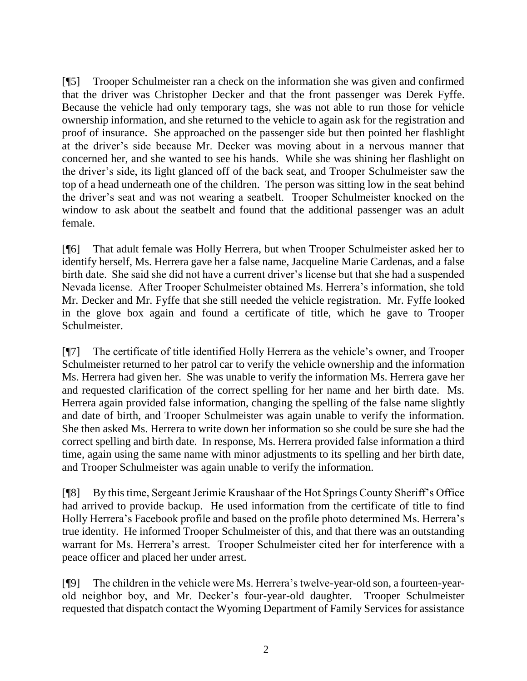[¶5] Trooper Schulmeister ran a check on the information she was given and confirmed that the driver was Christopher Decker and that the front passenger was Derek Fyffe. Because the vehicle had only temporary tags, she was not able to run those for vehicle ownership information, and she returned to the vehicle to again ask for the registration and proof of insurance. She approached on the passenger side but then pointed her flashlight at the driver's side because Mr. Decker was moving about in a nervous manner that concerned her, and she wanted to see his hands. While she was shining her flashlight on the driver's side, its light glanced off of the back seat, and Trooper Schulmeister saw the top of a head underneath one of the children. The person was sitting low in the seat behind the driver's seat and was not wearing a seatbelt. Trooper Schulmeister knocked on the window to ask about the seatbelt and found that the additional passenger was an adult female.

[¶6] That adult female was Holly Herrera, but when Trooper Schulmeister asked her to identify herself, Ms. Herrera gave her a false name, Jacqueline Marie Cardenas, and a false birth date. She said she did not have a current driver's license but that she had a suspended Nevada license. After Trooper Schulmeister obtained Ms. Herrera's information, she told Mr. Decker and Mr. Fyffe that she still needed the vehicle registration. Mr. Fyffe looked in the glove box again and found a certificate of title, which he gave to Trooper Schulmeister.

[¶7] The certificate of title identified Holly Herrera as the vehicle's owner, and Trooper Schulmeister returned to her patrol car to verify the vehicle ownership and the information Ms. Herrera had given her. She was unable to verify the information Ms. Herrera gave her and requested clarification of the correct spelling for her name and her birth date. Ms. Herrera again provided false information, changing the spelling of the false name slightly and date of birth, and Trooper Schulmeister was again unable to verify the information. She then asked Ms. Herrera to write down her information so she could be sure she had the correct spelling and birth date. In response, Ms. Herrera provided false information a third time, again using the same name with minor adjustments to its spelling and her birth date, and Trooper Schulmeister was again unable to verify the information.

[¶8] By this time, Sergeant Jerimie Kraushaar of the Hot Springs County Sheriff's Office had arrived to provide backup. He used information from the certificate of title to find Holly Herrera's Facebook profile and based on the profile photo determined Ms. Herrera's true identity. He informed Trooper Schulmeister of this, and that there was an outstanding warrant for Ms. Herrera's arrest. Trooper Schulmeister cited her for interference with a peace officer and placed her under arrest.

[¶9] The children in the vehicle were Ms. Herrera's twelve-year-old son, a fourteen-yearold neighbor boy, and Mr. Decker's four-year-old daughter. Trooper Schulmeister requested that dispatch contact the Wyoming Department of Family Services for assistance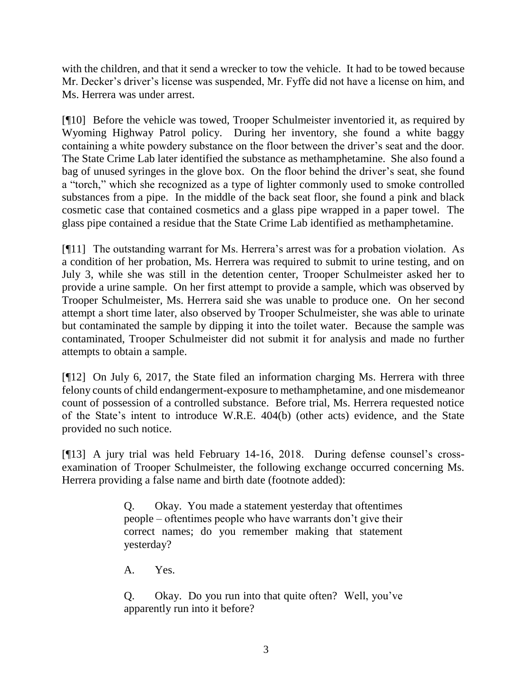with the children, and that it send a wrecker to tow the vehicle. It had to be towed because Mr. Decker's driver's license was suspended, Mr. Fyffe did not have a license on him, and Ms. Herrera was under arrest.

[¶10] Before the vehicle was towed, Trooper Schulmeister inventoried it, as required by Wyoming Highway Patrol policy. During her inventory, she found a white baggy containing a white powdery substance on the floor between the driver's seat and the door. The State Crime Lab later identified the substance as methamphetamine. She also found a bag of unused syringes in the glove box. On the floor behind the driver's seat, she found a "torch," which she recognized as a type of lighter commonly used to smoke controlled substances from a pipe. In the middle of the back seat floor, she found a pink and black cosmetic case that contained cosmetics and a glass pipe wrapped in a paper towel. The glass pipe contained a residue that the State Crime Lab identified as methamphetamine.

[¶11] The outstanding warrant for Ms. Herrera's arrest was for a probation violation. As a condition of her probation, Ms. Herrera was required to submit to urine testing, and on July 3, while she was still in the detention center, Trooper Schulmeister asked her to provide a urine sample. On her first attempt to provide a sample, which was observed by Trooper Schulmeister, Ms. Herrera said she was unable to produce one. On her second attempt a short time later, also observed by Trooper Schulmeister, she was able to urinate but contaminated the sample by dipping it into the toilet water. Because the sample was contaminated, Trooper Schulmeister did not submit it for analysis and made no further attempts to obtain a sample.

[¶12] On July 6, 2017, the State filed an information charging Ms. Herrera with three felony counts of child endangerment-exposure to methamphetamine, and one misdemeanor count of possession of a controlled substance. Before trial, Ms. Herrera requested notice of the State's intent to introduce W.R.E. 404(b) (other acts) evidence, and the State provided no such notice.

[¶13] A jury trial was held February 14-16, 2018. During defense counsel's crossexamination of Trooper Schulmeister, the following exchange occurred concerning Ms. Herrera providing a false name and birth date (footnote added):

> Q. Okay. You made a statement yesterday that oftentimes people – oftentimes people who have warrants don't give their correct names; do you remember making that statement yesterday?

A. Yes.

Q. Okay. Do you run into that quite often? Well, you've apparently run into it before?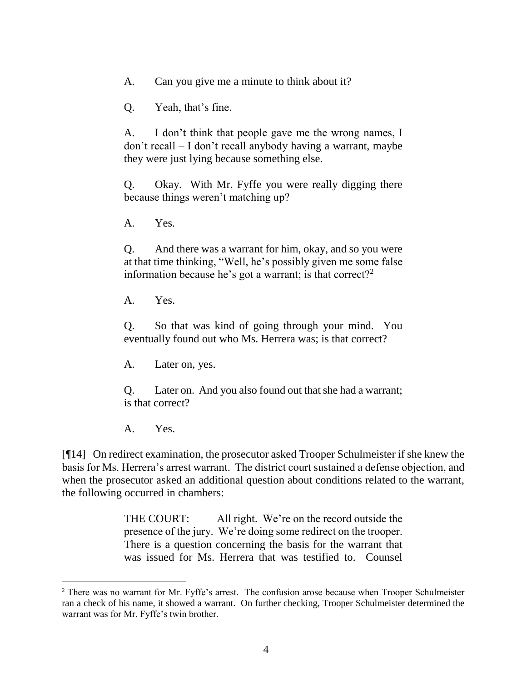A. Can you give me a minute to think about it?

Q. Yeah, that's fine.

A. I don't think that people gave me the wrong names, I don't recall – I don't recall anybody having a warrant, maybe they were just lying because something else.

Q. Okay. With Mr. Fyffe you were really digging there because things weren't matching up?

A. Yes.

Q. And there was a warrant for him, okay, and so you were at that time thinking, "Well, he's possibly given me some false information because he's got a warrant; is that correct?<sup>2</sup>

A. Yes.

Q. So that was kind of going through your mind. You eventually found out who Ms. Herrera was; is that correct?

A. Later on, yes.

Q. Later on. And you also found out that she had a warrant; is that correct?

A. Yes.

[¶14] On redirect examination, the prosecutor asked Trooper Schulmeister if she knew the basis for Ms. Herrera's arrest warrant. The district court sustained a defense objection, and when the prosecutor asked an additional question about conditions related to the warrant, the following occurred in chambers:

> THE COURT: All right. We're on the record outside the presence of the jury. We're doing some redirect on the trooper. There is a question concerning the basis for the warrant that was issued for Ms. Herrera that was testified to. Counsel

<sup>&</sup>lt;sup>2</sup> There was no warrant for Mr. Fyffe's arrest. The confusion arose because when Trooper Schulmeister ran a check of his name, it showed a warrant. On further checking, Trooper Schulmeister determined the warrant was for Mr. Fyffe's twin brother.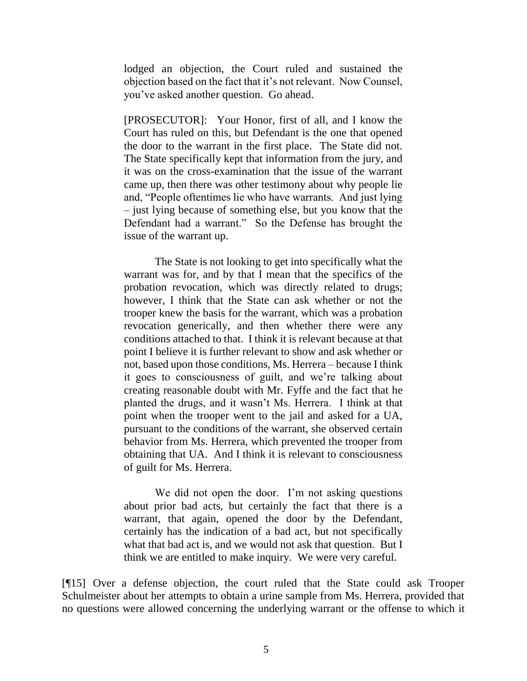lodged an objection, the Court ruled and sustained the objection based on the fact that it's not relevant. Now Counsel, you've asked another question. Go ahead.

[PROSECUTOR]: Your Honor, first of all, and I know the Court has ruled on this, but Defendant is the one that opened the door to the warrant in the first place. The State did not. The State specifically kept that information from the jury, and it was on the cross-examination that the issue of the warrant came up, then there was other testimony about why people lie and, "People oftentimes lie who have warrants. And just lying – just lying because of something else, but you know that the Defendant had a warrant." So the Defense has brought the issue of the warrant up.

The State is not looking to get into specifically what the warrant was for, and by that I mean that the specifics of the probation revocation, which was directly related to drugs; however, I think that the State can ask whether or not the trooper knew the basis for the warrant, which was a probation revocation generically, and then whether there were any conditions attached to that. I think it is relevant because at that point I believe it is further relevant to show and ask whether or not, based upon those conditions, Ms. Herrera – because I think it goes to consciousness of guilt, and we're talking about creating reasonable doubt with Mr. Fyffe and the fact that he planted the drugs, and it wasn't Ms. Herrera. I think at that point when the trooper went to the jail and asked for a UA, pursuant to the conditions of the warrant, she observed certain behavior from Ms. Herrera, which prevented the trooper from obtaining that UA. And I think it is relevant to consciousness of guilt for Ms. Herrera.

We did not open the door. I'm not asking questions about prior bad acts, but certainly the fact that there is a warrant, that again, opened the door by the Defendant, certainly has the indication of a bad act, but not specifically what that bad act is, and we would not ask that question. But I think we are entitled to make inquiry. We were very careful.

[¶15] Over a defense objection, the court ruled that the State could ask Trooper Schulmeister about her attempts to obtain a urine sample from Ms. Herrera, provided that no questions were allowed concerning the underlying warrant or the offense to which it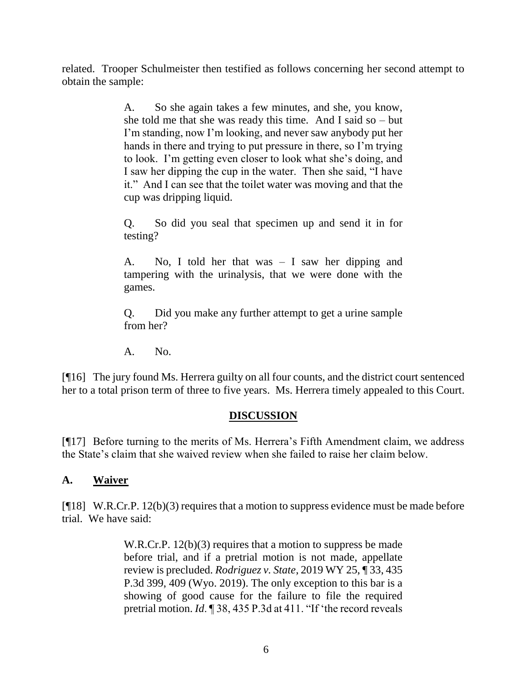related. Trooper Schulmeister then testified as follows concerning her second attempt to obtain the sample:

> A. So she again takes a few minutes, and she, you know, she told me that she was ready this time. And I said so  $-$  but I'm standing, now I'm looking, and never saw anybody put her hands in there and trying to put pressure in there, so I'm trying to look. I'm getting even closer to look what she's doing, and I saw her dipping the cup in the water. Then she said, "I have it." And I can see that the toilet water was moving and that the cup was dripping liquid.

> Q. So did you seal that specimen up and send it in for testing?

> A. No, I told her that was – I saw her dipping and tampering with the urinalysis, that we were done with the games.

> Q. Did you make any further attempt to get a urine sample from her?

A. No.

[¶16] The jury found Ms. Herrera guilty on all four counts, and the district court sentenced her to a total prison term of three to five years. Ms. Herrera timely appealed to this Court.

## **DISCUSSION**

[¶17] Before turning to the merits of Ms. Herrera's Fifth Amendment claim, we address the State's claim that she waived review when she failed to raise her claim below.

## **A. Waiver**

[¶18] W.R.Cr.P. 12(b)(3) requires that a motion to suppress evidence must be made before trial. We have said:

> W.R.Cr.P. 12(b)(3) requires that a motion to suppress be made before trial, and if a pretrial motion is not made, appellate review is precluded. *Rodriguez v. State*, 2019 WY 25, ¶ 33, 435 P.3d 399, 409 (Wyo. 2019). The only exception to this bar is a showing of good cause for the failure to file the required pretrial motion. *Id*. ¶ 38, 435 P.3d at 411. "If 'the record reveals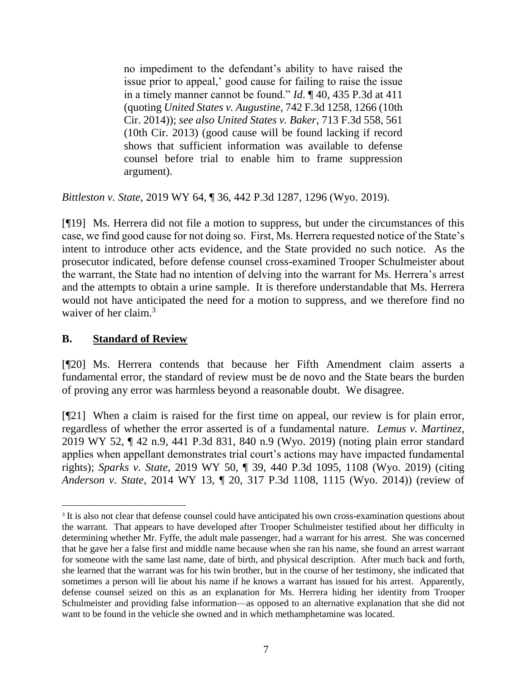no impediment to the defendant's ability to have raised the issue prior to appeal,' good cause for failing to raise the issue in a timely manner cannot be found." *Id*. ¶ 40, 435 P.3d at 411 (quoting *United States v. Augustine*, 742 F.3d 1258, 1266 (10th Cir. 2014)); *see also United States v. Baker*, 713 F.3d 558, 561 (10th Cir. 2013) (good cause will be found lacking if record shows that sufficient information was available to defense counsel before trial to enable him to frame suppression argument).

*Bittleston v. State*, 2019 WY 64, ¶ 36, 442 P.3d 1287, 1296 (Wyo. 2019).

[¶19] Ms. Herrera did not file a motion to suppress, but under the circumstances of this case, we find good cause for not doing so. First, Ms. Herrera requested notice of the State's intent to introduce other acts evidence, and the State provided no such notice. As the prosecutor indicated, before defense counsel cross-examined Trooper Schulmeister about the warrant, the State had no intention of delving into the warrant for Ms. Herrera's arrest and the attempts to obtain a urine sample. It is therefore understandable that Ms. Herrera would not have anticipated the need for a motion to suppress, and we therefore find no waiver of her claim.<sup>3</sup>

# **B. Standard of Review**

 $\overline{a}$ 

[¶20] Ms. Herrera contends that because her Fifth Amendment claim asserts a fundamental error, the standard of review must be de novo and the State bears the burden of proving any error was harmless beyond a reasonable doubt. We disagree.

[¶21] When a claim is raised for the first time on appeal, our review is for plain error, regardless of whether the error asserted is of a fundamental nature. *Lemus v. Martinez*, 2019 WY 52, ¶ 42 n.9, 441 P.3d 831, 840 n.9 (Wyo. 2019) (noting plain error standard applies when appellant demonstrates trial court's actions may have impacted fundamental rights); *Sparks v. State*, 2019 WY 50, ¶ 39, 440 P.3d 1095, 1108 (Wyo. 2019) (citing *Anderson v. State*, 2014 WY 13, ¶ 20, 317 P.3d 1108, 1115 (Wyo. 2014)) (review of

<sup>&</sup>lt;sup>3</sup> It is also not clear that defense counsel could have anticipated his own cross-examination questions about the warrant. That appears to have developed after Trooper Schulmeister testified about her difficulty in determining whether Mr. Fyffe, the adult male passenger, had a warrant for his arrest. She was concerned that he gave her a false first and middle name because when she ran his name, she found an arrest warrant for someone with the same last name, date of birth, and physical description. After much back and forth, she learned that the warrant was for his twin brother, but in the course of her testimony, she indicated that sometimes a person will lie about his name if he knows a warrant has issued for his arrest. Apparently, defense counsel seized on this as an explanation for Ms. Herrera hiding her identity from Trooper Schulmeister and providing false information—as opposed to an alternative explanation that she did not want to be found in the vehicle she owned and in which methamphetamine was located.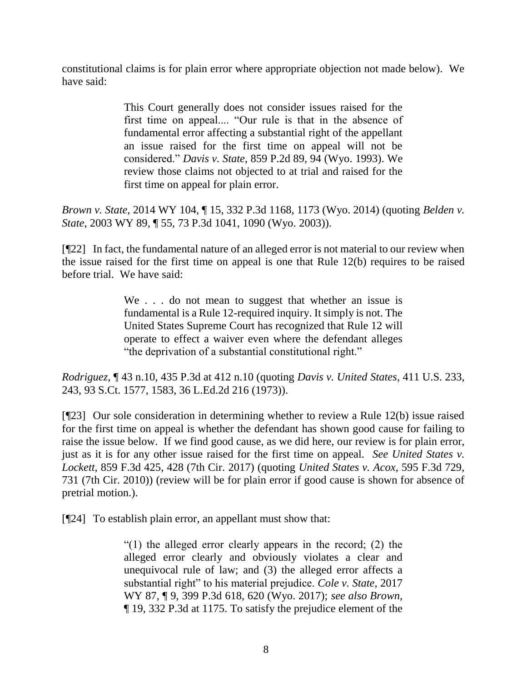constitutional claims is for plain error where appropriate objection not made below). We have said:

> This Court generally does not consider issues raised for the first time on appeal.... "Our rule is that in the absence of fundamental error affecting a substantial right of the appellant an issue raised for the first time on appeal will not be considered." *Davis v. State*, 859 P.2d 89, 94 (Wyo. 1993). We review those claims not objected to at trial and raised for the first time on appeal for plain error.

*Brown v. State*, 2014 WY 104, ¶ 15, 332 P.3d 1168, 1173 (Wyo. 2014) (quoting *Belden v. State*, 2003 WY 89, ¶ 55, 73 P.3d 1041, 1090 (Wyo. 2003)).

[¶22] In fact, the fundamental nature of an alleged error is not material to our review when the issue raised for the first time on appeal is one that Rule 12(b) requires to be raised before trial. We have said:

> We . . . do not mean to suggest that whether an issue is fundamental is a Rule 12-required inquiry. It simply is not. The United States Supreme Court has recognized that [Rule 12](http://www.westlaw.com/Link/Document/FullText?findType=L&pubNum=1008764&cite=WYRRCRPR12&originatingDoc=Ie4f3db003f9e11e9bb0cd983136a9739&refType=LQ&originationContext=document&vr=3.0&rs=cblt1.0&transitionType=DocumentItem&contextData=(sc.Search)) will operate to effect a waiver even where the defendant alleges "the deprivation of a substantial constitutional right."

*Rodriguez*, ¶ 43 n.10, 435 P.3d at 412 n.10 (quoting *Davis v. United States*, 411 U.S. 233, 243, 93 S.Ct. 1577, 1583, 36 L.Ed.2d 216 (1973)).

[¶23] Our sole consideration in determining whether to review a Rule 12(b) issue raised for the first time on appeal is whether the defendant has shown good cause for failing to raise the issue below. If we find good cause, as we did here, our review is for plain error, just as it is for any other issue raised for the first time on appeal. *See United States v. Lockett*, 859 F.3d 425, 428 (7th Cir. 2017) (quoting *United States v. Acox*, 595 F.3d 729, 731 (7th Cir. 2010)) (review will be for plain error if good cause is shown for absence of pretrial motion.).

[¶24] To establish plain error, an appellant must show that:

"(1) the alleged error clearly appears in the record; (2) the alleged error clearly and obviously violates a clear and unequivocal rule of law; and (3) the alleged error affects a substantial right" to his material prejudice. *Cole v. State*, 2017 WY 87, ¶ 9, 399 P.3d 618, 620 (Wyo. 2017); *see also Brown*, ¶ 19, 332 P.3d at 1175. To satisfy the prejudice element of the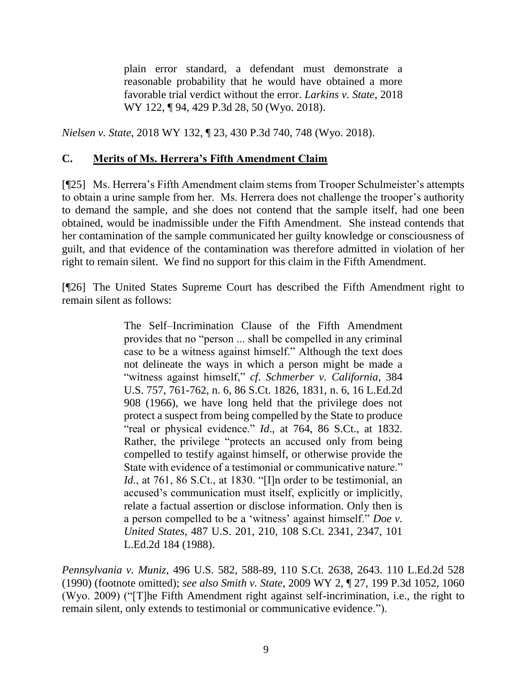plain error standard, a defendant must demonstrate a reasonable probability that he would have obtained a more favorable trial verdict without the error. *Larkins v. State*, 2018 WY 122, ¶ 94, 429 P.3d 28, 50 (Wyo. 2018).

*Nielsen v. State*, 2018 WY 132, ¶ 23, 430 P.3d 740, 748 (Wyo. 2018).

## **C. Merits of Ms. Herrera's Fifth Amendment Claim**

[¶25] Ms. Herrera's Fifth Amendment claim stems from Trooper Schulmeister's attempts to obtain a urine sample from her. Ms. Herrera does not challenge the trooper's authority to demand the sample, and she does not contend that the sample itself, had one been obtained, would be inadmissible under the Fifth Amendment. She instead contends that her contamination of the sample communicated her guilty knowledge or consciousness of guilt, and that evidence of the contamination was therefore admitted in violation of her right to remain silent. We find no support for this claim in the Fifth Amendment.

[¶26] The United States Supreme Court has described the Fifth Amendment right to remain silent as follows:

> The Self–Incrimination Clause of the Fifth Amendment provides that no "person ... shall be compelled in any criminal case to be a witness against himself." Although the text does not delineate the ways in which a person might be made a "witness against himself," *cf*. *Schmerber v. California*, 384 U.S. 757, 761-762, n. 6, 86 S.Ct. 1826, 1831, n. 6, 16 L.Ed.2d 908 (1966), we have long held that the privilege does not protect a suspect from being compelled by the State to produce "real or physical evidence." *Id*., at 764, 86 S.Ct., at 1832. Rather, the privilege "protects an accused only from being compelled to testify against himself, or otherwise provide the State with evidence of a testimonial or communicative nature." *Id*., at 761, 86 S.Ct., at 1830. "[I]n order to be testimonial, an accused's communication must itself, explicitly or implicitly, relate a factual assertion or disclose information. Only then is a person compelled to be a 'witness' against himself." *Doe v. United States*, 487 U.S. 201, 210, 108 S.Ct. 2341, 2347, 101 L.Ed.2d 184 (1988).

*Pennsylvania v. Muniz*, 496 U.S. 582, 588-89, 110 S.Ct. 2638, 2643. 110 L.Ed.2d 528 (1990) (footnote omitted); *see also Smith v. State*, 2009 WY 2, ¶ 27, 199 P.3d 1052, 1060 (Wyo. 2009) ("[T]he Fifth Amendment right against self-incrimination, i.e., the right to remain silent, only extends to testimonial or communicative evidence.").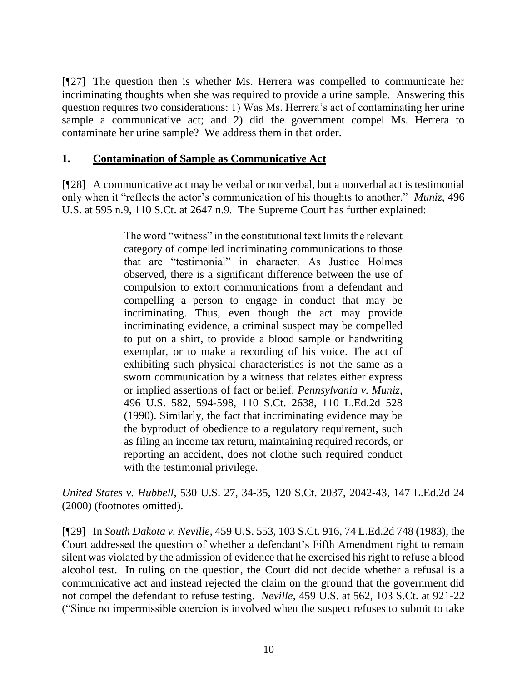[¶27] The question then is whether Ms. Herrera was compelled to communicate her incriminating thoughts when she was required to provide a urine sample. Answering this question requires two considerations: 1) Was Ms. Herrera's act of contaminating her urine sample a communicative act; and 2) did the government compel Ms. Herrera to contaminate her urine sample? We address them in that order.

## **1. Contamination of Sample as Communicative Act**

[¶28] A communicative act may be verbal or nonverbal, but a nonverbal act is testimonial only when it "reflects the actor's communication of his thoughts to another." *Muniz*, 496 U.S. at 595 n.9, 110 S.Ct. at 2647 n.9. The Supreme Court has further explained:

> The word "witness" in the constitutional text limits the relevant category of compelled incriminating communications to those that are "testimonial" in character. As Justice Holmes observed, there is a significant difference between the use of compulsion to extort communications from a defendant and compelling a person to engage in conduct that may be incriminating. Thus, even though the act may provide incriminating evidence, a criminal suspect may be compelled to put on a shirt, to provide a blood sample or handwriting exemplar, or to make a recording of his voice. The act of exhibiting such physical characteristics is not the same as a sworn communication by a witness that relates either express or implied assertions of fact or belief. *Pennsylvania v. Muniz*, 496 U.S. 582, 594-598, 110 S.Ct. 2638, 110 L.Ed.2d 528 (1990). Similarly, the fact that incriminating evidence may be the byproduct of obedience to a regulatory requirement, such as filing an income tax return, maintaining required records, or reporting an accident, does not clothe such required conduct with the testimonial privilege.

*United States v. Hubbell*, 530 U.S. 27, 34-35, 120 S.Ct. 2037, 2042-43, 147 L.Ed.2d 24 (2000) (footnotes omitted).

[¶29] In *South Dakota v. Neville*, 459 U.S. 553, 103 S.Ct. 916, 74 L.Ed.2d 748 (1983), the Court addressed the question of whether a defendant's Fifth Amendment right to remain silent was violated by the admission of evidence that he exercised his right to refuse a blood alcohol test. In ruling on the question, the Court did not decide whether a refusal is a communicative act and instead rejected the claim on the ground that the government did not compel the defendant to refuse testing. *Neville*, 459 U.S. at 562, 103 S.Ct. at 921-22 ("Since no impermissible coercion is involved when the suspect refuses to submit to take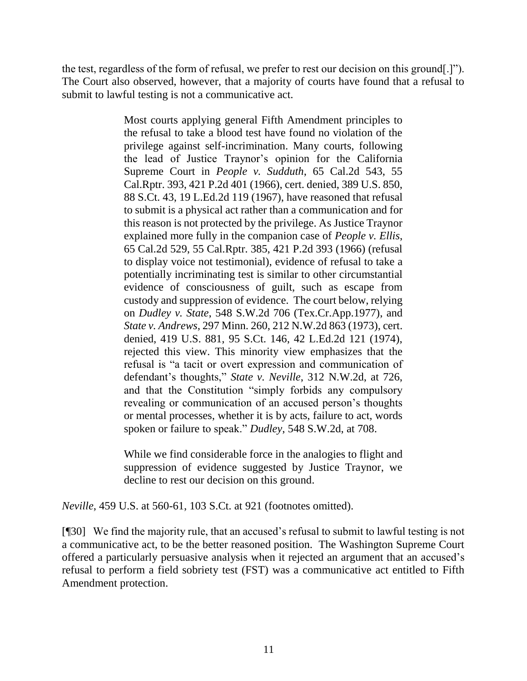the test, regardless of the form of refusal, we prefer to rest our decision on this ground[.]"). The Court also observed, however, that a majority of courts have found that a refusal to submit to lawful testing is not a communicative act.

> Most courts applying general Fifth Amendment principles to the refusal to take a blood test have found no violation of the privilege against self-incrimination. Many courts, following the lead of Justice Traynor's opinion for the California Supreme Court in *People v. Sudduth*, 65 Cal.2d 543, 55 Cal.Rptr. 393, 421 P.2d 401 (1966), cert. denied, 389 U.S. 850, 88 S.Ct. 43, 19 L.Ed.2d 119 (1967), have reasoned that refusal to submit is a physical act rather than a communication and for this reason is not protected by the privilege. As Justice Traynor explained more fully in the companion case of *People v. Ellis*, 65 Cal.2d 529, 55 Cal.Rptr. 385, 421 P.2d 393 (1966) (refusal to display voice not testimonial), evidence of refusal to take a potentially incriminating test is similar to other circumstantial evidence of consciousness of guilt, such as escape from custody and suppression of evidence. The court below, relying on *Dudley v. State*, 548 S.W.2d 706 (Tex.Cr.App.1977), and *State v. Andrews*[, 297 Minn. 260, 212 N.W.2d 863 \(1973\),](http://www.westlaw.com/Link/Document/FullText?findType=Y&serNum=1973118393&pubNum=0000595&originatingDoc=I178e47e89c1f11d993e6d35cc61aab4a&refType=RP&originationContext=document&vr=3.0&rs=cblt1.0&transitionType=DocumentItem&contextData=(sc.DocLink)) cert. denied, 419 U.S. 881, 95 S.Ct. 146, 42 L.Ed.2d 121 (1974), rejected this view. This minority view emphasizes that the refusal is "a tacit or overt expression and communication of defendant's thoughts," *State v. Neville*, 312 N.W.2d, at 726, and that the Constitution "simply forbids any compulsory revealing or communication of an accused person's thoughts or mental processes, whether it is by acts, failure to act, words spoken or failure to speak." *Dudley*, 548 S.W.2d, at 708.

> While we find considerable force in the analogies to flight and suppression of evidence suggested by Justice Traynor, we decline to rest our decision on this ground.

*Neville*, 459 U.S. at 560-61, 103 S.Ct. at 921 (footnotes omitted).

[¶30] We find the majority rule, that an accused's refusal to submit to lawful testing is not a communicative act, to be the better reasoned position. The Washington Supreme Court offered a particularly persuasive analysis when it rejected an argument that an accused's refusal to perform a field sobriety test (FST) was a communicative act entitled to Fifth Amendment protection.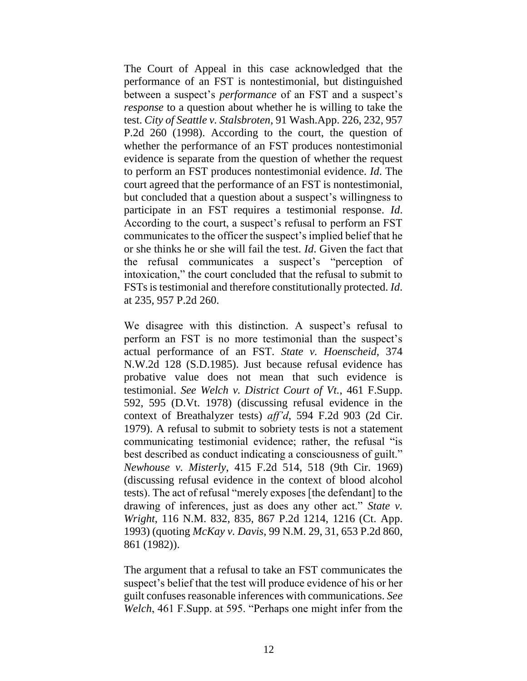The Court of Appeal in this case acknowledged that the performance of an FST is nontestimonial, but distinguished between a suspect's *performance* of an FST and a suspect's *response* to a question about whether he is willing to take the test. *City of Seattle v. Stalsbroten*, 91 Wash.App. 226, 232, 957 P.2d 260 (1998). According to the court, the question of whether the performance of an FST produces nontestimonial evidence is separate from the question of whether the request to perform an FST produces nontestimonial evidence. *Id*. The court agreed that the performance of an FST is nontestimonial, but concluded that a question about a suspect's willingness to participate in an FST requires a testimonial response. *Id*. According to the court, a suspect's refusal to perform an FST communicates to the officer the suspect's implied belief that he or she thinks he or she will fail the test. *Id*. Given the fact that the refusal communicates a suspect's "perception of intoxication," the court concluded that the refusal to submit to FSTs is testimonial and therefore constitutionally protected. *Id*. at 235, 957 P.2d 260.

We disagree with this distinction. A suspect's refusal to perform an FST is no more testimonial than the suspect's actual performance of an FST. *State v. Hoenscheid*, 374 N.W.2d 128 (S.D.1985). Just because refusal evidence has probative value does not mean that such evidence is testimonial. *See Welch v. District Court of Vt.*, 461 F.Supp. 592, 595 (D.Vt. 1978) (discussing refusal evidence in the context of Breathalyzer tests) *aff'd*, 594 F.2d 903 (2d Cir. 1979). A refusal to submit to sobriety tests is not a statement communicating testimonial evidence; rather, the refusal "is best described as conduct indicating a consciousness of guilt." *Newhouse v. Misterly*, 415 F.2d 514, 518 (9th Cir. 1969) (discussing refusal evidence in the context of blood alcohol tests). The act of refusal "merely exposes [the defendant] to the drawing of inferences, just as does any other act." *State v. Wright*, 116 N.M. 832, 835, 867 P.2d 1214, 1216 (Ct. App. 1993) (quoting *McKay v. Davis*, 99 N.M. 29, 31, 653 P.2d 860, 861 (1982)).

The argument that a refusal to take an FST communicates the suspect's belief that the test will produce evidence of his or her guilt confuses reasonable inferences with communications. *See Welch*, 461 F.Supp. at 595. "Perhaps one might infer from the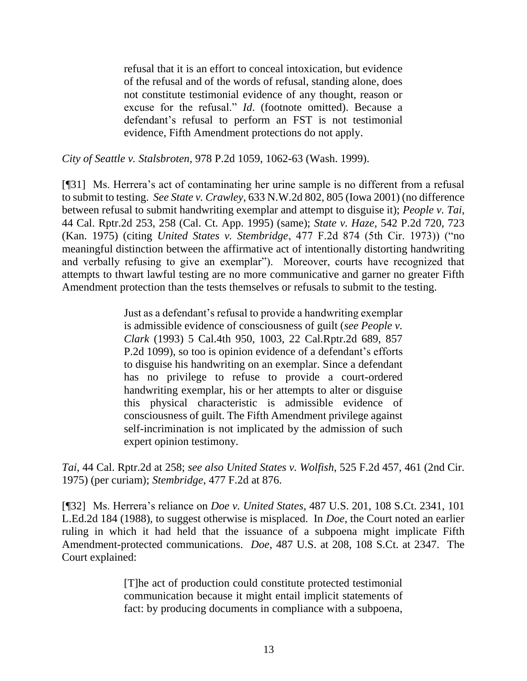refusal that it is an effort to conceal intoxication, but evidence of the refusal and of the words of refusal, standing alone, does not constitute testimonial evidence of any thought, reason or excuse for the refusal." *Id*. (footnote omitted). Because a defendant's refusal to perform an FST is not testimonial evidence, Fifth Amendment protections do not apply.

*City of Seattle v. Stalsbroten*, 978 P.2d 1059, 1062-63 (Wash. 1999).

[¶31] Ms. Herrera's act of contaminating her urine sample is no different from a refusal to submit to testing. *See State v. Crawley*, 633 N.W.2d 802, 805 (Iowa 2001) (no difference between refusal to submit handwriting exemplar and attempt to disguise it); *People v. Tai*, 44 Cal. Rptr.2d 253, 258 (Cal. Ct. App. 1995) (same); *State v. Haze*, 542 P.2d 720, 723 (Kan. 1975) (citing *United States v. Stembridge*, 477 F.2d 874 (5th Cir. 1973)) ("no meaningful distinction between the affirmative act of intentionally distorting handwriting and verbally refusing to give an exemplar"). Moreover, courts have recognized that attempts to thwart lawful testing are no more communicative and garner no greater Fifth Amendment protection than the tests themselves or refusals to submit to the testing.

> Just as a defendant's refusal to provide a handwriting exemplar is admissible evidence of consciousness of guilt (*see People v. Clark* (1993) 5 Cal.4th 950, 1003, 22 Cal.Rptr.2d 689, 857 P.2d 1099), so too is opinion evidence of a defendant's efforts to disguise his handwriting on an exemplar. Since a defendant has no privilege to refuse to provide a court-ordered handwriting exemplar, his or her attempts to alter or disguise this physical characteristic is admissible evidence of consciousness of guilt. The Fifth Amendment privilege against self-incrimination is not implicated by the admission of such expert opinion testimony.

*Tai*, 44 Cal. Rptr.2d at 258; *see also United States v. Wolfish*, 525 F.2d 457, 461 (2nd Cir. 1975) (per curiam); *Stembridge*, 477 F.2d at 876.

[¶32] Ms. Herrera's reliance on *Doe v. United States*, 487 U.S. 201, 108 S.Ct. 2341, 101 L.Ed.2d 184 (1988), to suggest otherwise is misplaced. In *Doe*, the Court noted an earlier ruling in which it had held that the issuance of a subpoena might implicate Fifth Amendment-protected communications. *Doe*, 487 U.S. at 208, 108 S.Ct. at 2347. The Court explained:

> [T]he act of production could constitute protected testimonial communication because it might entail implicit statements of fact: by producing documents in compliance with a subpoena,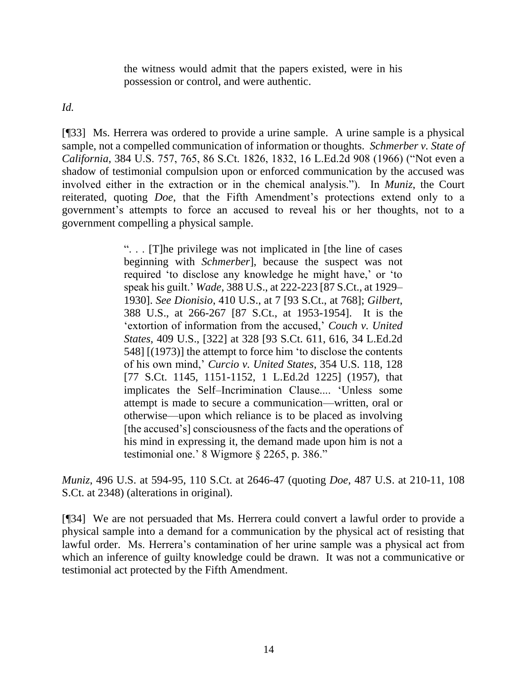the witness would admit that the papers existed, were in his possession or control, and were authentic.

*Id.*

[¶33] Ms. Herrera was ordered to provide a urine sample. A urine sample is a physical sample, not a compelled communication of information or thoughts. *Schmerber v. State of California*, 384 U.S. 757, 765, 86 S.Ct. 1826, 1832, 16 L.Ed.2d 908 (1966) ("Not even a shadow of testimonial compulsion upon or enforced communication by the accused was involved either in the extraction or in the chemical analysis."). In *Muniz*, the Court reiterated, quoting *Doe*, that the Fifth Amendment's protections extend only to a government's attempts to force an accused to reveal his or her thoughts, not to a government compelling a physical sample.

> ". . . [T]he privilege was not implicated in [the line of cases beginning with *Schmerber*], because the suspect was not required 'to disclose any knowledge he might have,' or 'to speak his guilt.' *Wade*, 388 U.S., at 222-223 [87 S.Ct., at 1929– 1930]. *See Dionisio*, 410 U.S., at 7 [93 S.Ct., at 768]; *Gilbert*, 388 U.S., at 266-267 [87 S.Ct., at 1953-1954]. It is the 'extortion of information from the accused,' *Couch v. United States*, 409 U.S., [322] at 328 [93 S.Ct. 611, 616, 34 L.Ed.2d 548] [(1973)] the attempt to force him 'to disclose the contents of his own mind,' *Curcio v. United States*, 354 U.S. 118, 128 [77 S.Ct. 1145, 1151-1152, 1 L.Ed.2d 1225] (1957), that implicates the Self–Incrimination Clause.... 'Unless some attempt is made to secure a communication—written, oral or otherwise—upon which reliance is to be placed as involving [the accused's] consciousness of the facts and the operations of his mind in expressing it, the demand made upon him is not a testimonial one.' 8 Wigmore § 2265, p. 386."

*Muniz*, 496 U.S. at 594-95, 110 S.Ct. at 2646-47 (quoting *Doe*, 487 U.S. at 210-11, 108 S.Ct. at 2348) (alterations in original).

[¶34] We are not persuaded that Ms. Herrera could convert a lawful order to provide a physical sample into a demand for a communication by the physical act of resisting that lawful order. Ms. Herrera's contamination of her urine sample was a physical act from which an inference of guilty knowledge could be drawn. It was not a communicative or testimonial act protected by the Fifth Amendment.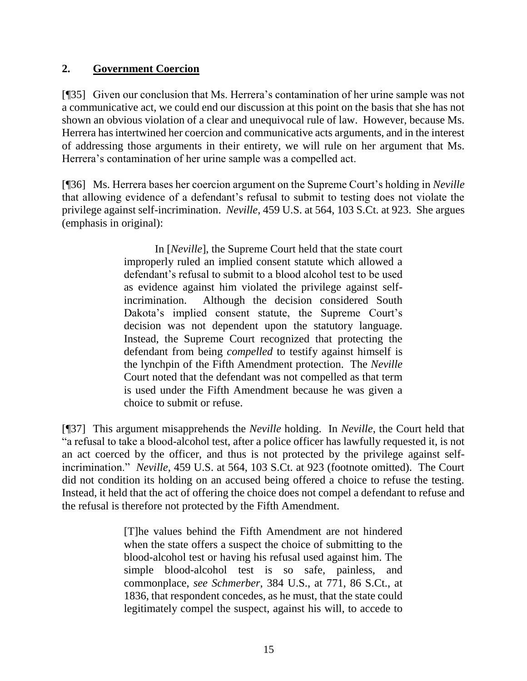## **2. Government Coercion**

[¶35] Given our conclusion that Ms. Herrera's contamination of her urine sample was not a communicative act, we could end our discussion at this point on the basis that she has not shown an obvious violation of a clear and unequivocal rule of law. However, because Ms. Herrera has intertwined her coercion and communicative acts arguments, and in the interest of addressing those arguments in their entirety, we will rule on her argument that Ms. Herrera's contamination of her urine sample was a compelled act.

[¶36] Ms. Herrera bases her coercion argument on the Supreme Court's holding in *Neville* that allowing evidence of a defendant's refusal to submit to testing does not violate the privilege against self-incrimination. *Neville*, 459 U.S. at 564, 103 S.Ct. at 923. She argues (emphasis in original):

> In [*Neville*], the Supreme Court held that the state court improperly ruled an implied consent statute which allowed a defendant's refusal to submit to a blood alcohol test to be used as evidence against him violated the privilege against selfincrimination. Although the decision considered South Dakota's implied consent statute, the Supreme Court's decision was not dependent upon the statutory language. Instead, the Supreme Court recognized that protecting the defendant from being *compelled* to testify against himself is the lynchpin of the Fifth Amendment protection. The *Neville* Court noted that the defendant was not compelled as that term is used under the Fifth Amendment because he was given a choice to submit or refuse.

[¶37] This argument misapprehends the *Neville* holding. In *Neville*, the Court held that "a refusal to take a blood-alcohol test, after a police officer has lawfully requested it, is not an act coerced by the officer, and thus is not protected by the privilege against selfincrimination." *Neville*, 459 U.S. at 564, 103 S.Ct. at 923 (footnote omitted). The Court did not condition its holding on an accused being offered a choice to refuse the testing. Instead, it held that the act of offering the choice does not compel a defendant to refuse and the refusal is therefore not protected by the Fifth Amendment.

> [T]he values behind the Fifth Amendment are not hindered when the state offers a suspect the choice of submitting to the blood-alcohol test or having his refusal used against him. The simple blood-alcohol test is so safe, painless, and commonplace, *see Schmerber*, 384 U.S., at 771, 86 S.Ct., at 1836, that respondent concedes, as he must, that the state could legitimately compel the suspect, against his will, to accede to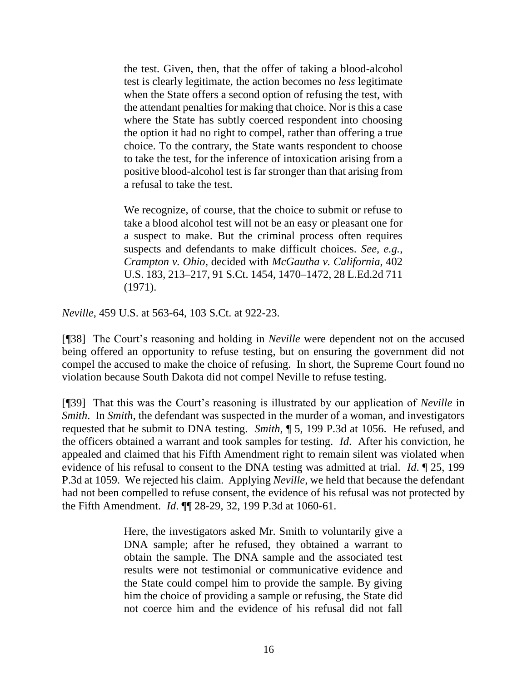the test. Given, then, that the offer of taking a blood-alcohol test is clearly legitimate, the action becomes no *less* legitimate when the State offers a second option of refusing the test, with the attendant penalties for making that choice. Nor is this a case where the State has subtly coerced respondent into choosing the option it had no right to compel, rather than offering a true choice. To the contrary, the State wants respondent to choose to take the test, for the inference of intoxication arising from a positive blood-alcohol test is far stronger than that arising from a refusal to take the test.

We recognize, of course, that the choice to submit or refuse to take a blood alcohol test will not be an easy or pleasant one for a suspect to make. But the criminal process often requires suspects and defendants to make difficult choices. *See*, *e.g.*, *Crampton v. Ohio*, decided with *McGautha v. California*, 402 U.S. 183, 213–217, 91 S.Ct. 1454, 1470–1472, 28 L.Ed.2d 711 (1971).

*Neville*, 459 U.S. at 563-64, 103 S.Ct. at 922-23.

[¶38] The Court's reasoning and holding in *Neville* were dependent not on the accused being offered an opportunity to refuse testing, but on ensuring the government did not compel the accused to make the choice of refusing. In short, the Supreme Court found no violation because South Dakota did not compel Neville to refuse testing.

[¶39] That this was the Court's reasoning is illustrated by our application of *Neville* in *Smith*. In *Smith*, the defendant was suspected in the murder of a woman, and investigators requested that he submit to DNA testing. *Smith*, ¶ 5, 199 P.3d at 1056. He refused, and the officers obtained a warrant and took samples for testing. *Id*. After his conviction, he appealed and claimed that his Fifth Amendment right to remain silent was violated when evidence of his refusal to consent to the DNA testing was admitted at trial. *Id*. ¶ 25, 199 P.3d at 1059. We rejected his claim. Applying *Neville*, we held that because the defendant had not been compelled to refuse consent, the evidence of his refusal was not protected by the Fifth Amendment. *Id*. ¶¶ 28-29, 32, 199 P.3d at 1060-61.

> Here, the investigators asked Mr. Smith to voluntarily give a DNA sample; after he refused, they obtained a warrant to obtain the sample. The DNA sample and the associated test results were not testimonial or communicative evidence and the State could compel him to provide the sample. By giving him the choice of providing a sample or refusing, the State did not coerce him and the evidence of his refusal did not fall